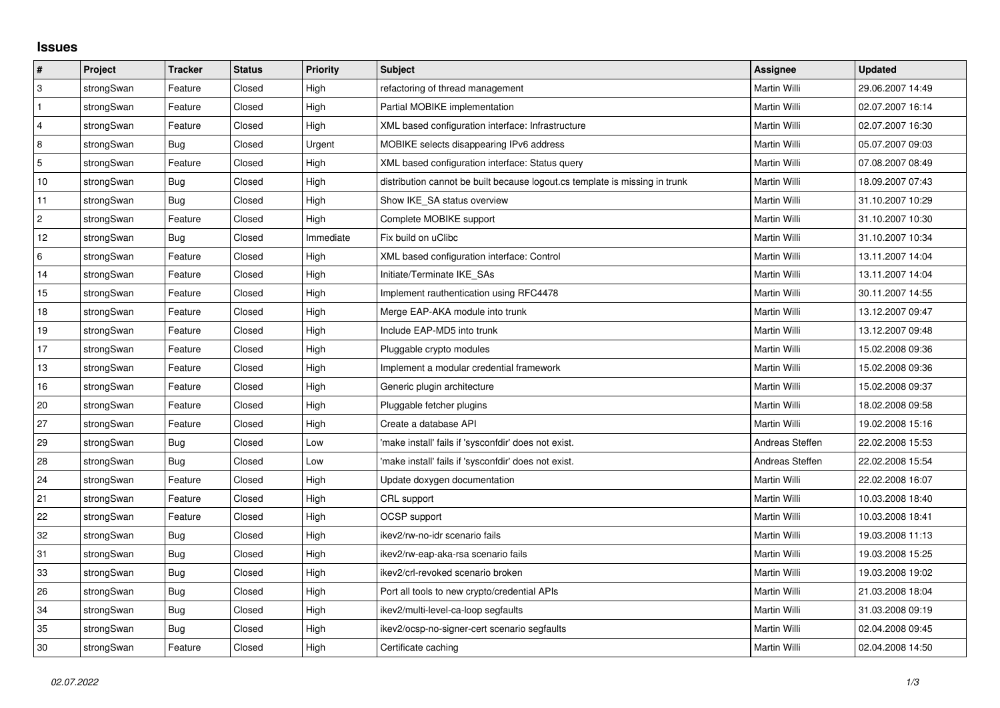## **Issues**

| $\vert$ #      | Project    | <b>Tracker</b> | <b>Status</b> | Priority  | Subject                                                                     | <b>Assignee</b> | <b>Updated</b>   |
|----------------|------------|----------------|---------------|-----------|-----------------------------------------------------------------------------|-----------------|------------------|
| 3              | strongSwan | Feature        | Closed        | High      | refactoring of thread management                                            | Martin Willi    | 29.06.2007 14:49 |
| $\mathbf{1}$   | strongSwan | Feature        | Closed        | High      | Partial MOBIKE implementation                                               | Martin Willi    | 02.07.2007 16:14 |
| $\overline{4}$ | strongSwan | Feature        | Closed        | High      | XML based configuration interface: Infrastructure                           | Martin Willi    | 02.07.2007 16:30 |
| 8              | strongSwan | Bug            | Closed        | Urgent    | MOBIKE selects disappearing IPv6 address                                    | Martin Willi    | 05.07.2007 09:03 |
| $\overline{5}$ | strongSwan | Feature        | Closed        | High      | XML based configuration interface: Status query                             | Martin Willi    | 07.08.2007 08:49 |
| 10             | strongSwan | Bug            | Closed        | High      | distribution cannot be built because logout.cs template is missing in trunk | Martin Willi    | 18.09.2007 07:43 |
| 11             | strongSwan | Bug            | Closed        | High      | Show IKE SA status overview                                                 | Martin Willi    | 31.10.2007 10:29 |
| $\overline{2}$ | strongSwan | Feature        | Closed        | High      | Complete MOBIKE support                                                     | Martin Willi    | 31.10.2007 10:30 |
| 12             | strongSwan | Bug            | Closed        | Immediate | Fix build on uClibc                                                         | Martin Willi    | 31.10.2007 10:34 |
| 6              | strongSwan | Feature        | Closed        | High      | XML based configuration interface: Control                                  | Martin Willi    | 13.11.2007 14:04 |
| 14             | strongSwan | Feature        | Closed        | High      | Initiate/Terminate IKE_SAs                                                  | Martin Willi    | 13.11.2007 14:04 |
| 15             | strongSwan | Feature        | Closed        | High      | Implement rauthentication using RFC4478                                     | Martin Willi    | 30.11.2007 14:55 |
| 18             | strongSwan | Feature        | Closed        | High      | Merge EAP-AKA module into trunk                                             | Martin Willi    | 13.12.2007 09:47 |
| 19             | strongSwan | Feature        | Closed        | High      | Include EAP-MD5 into trunk                                                  | Martin Willi    | 13.12.2007 09:48 |
| 17             | strongSwan | Feature        | Closed        | High      | Pluggable crypto modules                                                    | Martin Willi    | 15.02.2008 09:36 |
| 13             | strongSwan | Feature        | Closed        | High      | Implement a modular credential framework                                    | Martin Willi    | 15.02.2008 09:36 |
| 16             | strongSwan | Feature        | Closed        | High      | Generic plugin architecture                                                 | Martin Willi    | 15.02.2008 09:37 |
| 20             | strongSwan | Feature        | Closed        | High      | Pluggable fetcher plugins                                                   | Martin Willi    | 18.02.2008 09:58 |
| 27             | strongSwan | Feature        | Closed        | High      | Create a database API                                                       | Martin Willi    | 19.02.2008 15:16 |
| 29             | strongSwan | Bug            | Closed        | Low       | 'make install' fails if 'sysconfdir' does not exist.                        | Andreas Steffen | 22.02.2008 15:53 |
| 28             | strongSwan | Bug            | Closed        | Low       | 'make install' fails if 'sysconfdir' does not exist.                        | Andreas Steffen | 22.02.2008 15:54 |
| 24             | strongSwan | Feature        | Closed        | High      | Update doxygen documentation                                                | Martin Willi    | 22.02.2008 16:07 |
| 21             | strongSwan | Feature        | Closed        | High      | CRL support                                                                 | Martin Willi    | 10.03.2008 18:40 |
| 22             | strongSwan | Feature        | Closed        | High      | OCSP support                                                                | Martin Willi    | 10.03.2008 18:41 |
| 32             | strongSwan | Bug            | Closed        | High      | ikev2/rw-no-idr scenario fails                                              | Martin Willi    | 19.03.2008 11:13 |
| 31             | strongSwan | Bug            | Closed        | High      | ikev2/rw-eap-aka-rsa scenario fails                                         | Martin Willi    | 19.03.2008 15:25 |
| 33             | strongSwan | Bug            | Closed        | High      | ikev2/crl-revoked scenario broken                                           | Martin Willi    | 19.03.2008 19:02 |
| 26             | strongSwan | Bug            | Closed        | High      | Port all tools to new crypto/credential APIs                                | Martin Willi    | 21.03.2008 18:04 |
| 34             | strongSwan | Bug            | Closed        | High      | ikev2/multi-level-ca-loop segfaults                                         | Martin Willi    | 31.03.2008 09:19 |
| 35             | strongSwan | Bug            | Closed        | High      | ikev2/ocsp-no-signer-cert scenario segfaults                                | Martin Willi    | 02.04.2008 09:45 |
| $30\,$         | strongSwan | Feature        | Closed        | High      | Certificate caching                                                         | Martin Willi    | 02.04.2008 14:50 |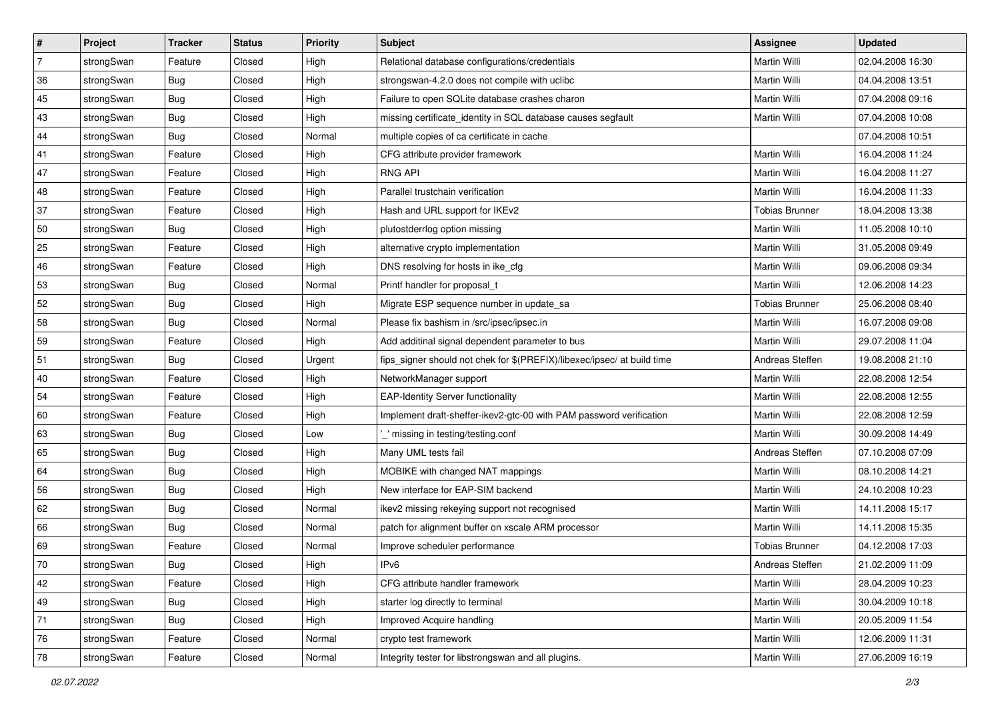| #              | Project    | <b>Tracker</b> | <b>Status</b> | Priority | <b>Subject</b>                                                          | Assignee              | <b>Updated</b>   |
|----------------|------------|----------------|---------------|----------|-------------------------------------------------------------------------|-----------------------|------------------|
| $\overline{7}$ | strongSwan | Feature        | Closed        | High     | Relational database configurations/credentials                          | Martin Willi          | 02.04.2008 16:30 |
| 36             | strongSwan | Bug            | Closed        | High     | strongswan-4.2.0 does not compile with uclibc                           | Martin Willi          | 04.04.2008 13:51 |
| 45             | strongSwan | Bug            | Closed        | High     | Failure to open SQLite database crashes charon                          | Martin Willi          | 07.04.2008 09:16 |
| 43             | strongSwan | Bug            | Closed        | High     | missing certificate_identity in SQL database causes segfault            | Martin Willi          | 07.04.2008 10:08 |
| 44             | strongSwan | <b>Bug</b>     | Closed        | Normal   | multiple copies of ca certificate in cache                              |                       | 07.04.2008 10:51 |
| 41             | strongSwan | Feature        | Closed        | High     | CFG attribute provider framework                                        | Martin Willi          | 16.04.2008 11:24 |
| 47             | strongSwan | Feature        | Closed        | High     | <b>RNG API</b>                                                          | Martin Willi          | 16.04.2008 11:27 |
| 48             | strongSwan | Feature        | Closed        | High     | Parallel trustchain verification                                        | Martin Willi          | 16.04.2008 11:33 |
| 37             | strongSwan | Feature        | Closed        | High     | Hash and URL support for IKEv2                                          | <b>Tobias Brunner</b> | 18.04.2008 13:38 |
| 50             | strongSwan | Bug            | Closed        | High     | plutostderrlog option missing                                           | Martin Willi          | 11.05.2008 10:10 |
| 25             | strongSwan | Feature        | Closed        | High     | alternative crypto implementation                                       | Martin Willi          | 31.05.2008 09:49 |
| 46             | strongSwan | Feature        | Closed        | High     | DNS resolving for hosts in ike_cfg                                      | <b>Martin Willi</b>   | 09.06.2008 09:34 |
| 53             | strongSwan | Bug            | Closed        | Normal   | Printf handler for proposal_t                                           | Martin Willi          | 12.06.2008 14:23 |
| 52             | strongSwan | Bug            | Closed        | High     | Migrate ESP sequence number in update_sa                                | <b>Tobias Brunner</b> | 25.06.2008 08:40 |
| 58             | strongSwan | Bug            | Closed        | Normal   | Please fix bashism in /src/ipsec/ipsec.in                               | Martin Willi          | 16.07.2008 09:08 |
| 59             | strongSwan | Feature        | Closed        | High     | Add additinal signal dependent parameter to bus                         | Martin Willi          | 29.07.2008 11:04 |
| 51             | strongSwan | Bug            | Closed        | Urgent   | fips_signer should not chek for \$(PREFIX)/libexec/ipsec/ at build time | Andreas Steffen       | 19.08.2008 21:10 |
| 40             | strongSwan | Feature        | Closed        | High     | NetworkManager support                                                  | Martin Willi          | 22.08.2008 12:54 |
| 54             | strongSwan | Feature        | Closed        | High     | <b>EAP-Identity Server functionality</b>                                | Martin Willi          | 22.08.2008 12:55 |
| 60             | strongSwan | Feature        | Closed        | High     | Implement draft-sheffer-ikev2-gtc-00 with PAM password verification     | Martin Willi          | 22.08.2008 12:59 |
| 63             | strongSwan | Bug            | Closed        | Low      | _' missing in testing/testing.conf                                      | Martin Willi          | 30.09.2008 14:49 |
| 65             | strongSwan | Bug            | Closed        | High     | Many UML tests fail                                                     | Andreas Steffen       | 07.10.2008 07:09 |
| 64             | strongSwan | Bug            | Closed        | High     | MOBIKE with changed NAT mappings                                        | Martin Willi          | 08.10.2008 14:21 |
| 56             | strongSwan | Bug            | Closed        | High     | New interface for EAP-SIM backend                                       | Martin Willi          | 24.10.2008 10:23 |
| 62             | strongSwan | Bug            | Closed        | Normal   | ikev2 missing rekeying support not recognised                           | Martin Willi          | 14.11.2008 15:17 |
| 66             | strongSwan | Bug            | Closed        | Normal   | patch for alignment buffer on xscale ARM processor                      | Martin Willi          | 14.11.2008 15:35 |
| 69             | strongSwan | Feature        | Closed        | Normal   | Improve scheduler performance                                           | Tobias Brunner        | 04.12.2008 17:03 |
| $70\,$         | strongSwan | <b>Bug</b>     | Closed        | High     | IPv6                                                                    | Andreas Steffen       | 21.02.2009 11:09 |
| 42             | strongSwan | Feature        | Closed        | High     | CFG attribute handler framework                                         | Martin Willi          | 28.04.2009 10:23 |
| 49             | strongSwan | Bug            | Closed        | High     | starter log directly to terminal                                        | Martin Willi          | 30.04.2009 10:18 |
| 71             | strongSwan | Bug            | Closed        | High     | Improved Acquire handling                                               | Martin Willi          | 20.05.2009 11:54 |
| 76             | strongSwan | Feature        | Closed        | Normal   | crypto test framework                                                   | Martin Willi          | 12.06.2009 11:31 |
| 78             | strongSwan | Feature        | Closed        | Normal   | Integrity tester for libstrongswan and all plugins.                     | Martin Willi          | 27.06.2009 16:19 |